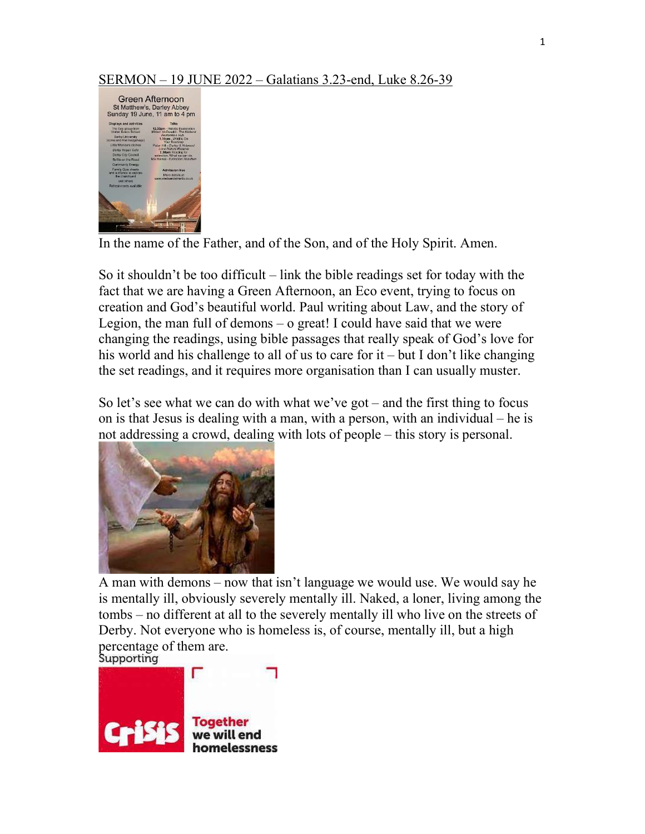## SERMON – 19 JUNE 2022 – Galatians 3.23-end, Luke 8.26-39



In the name of the Father, and of the Son, and of the Holy Spirit. Amen.

So it shouldn't be too difficult – link the bible readings set for today with the fact that we are having a Green Afternoon, an Eco event, trying to focus on creation and God's beautiful world. Paul writing about Law, and the story of Legion, the man full of demons – o great! I could have said that we were changing the readings, using bible passages that really speak of God's love for his world and his challenge to all of us to care for it – but I don't like changing the set readings, and it requires more organisation than I can usually muster.

So let's see what we can do with what we've got – and the first thing to focus on is that Jesus is dealing with a man, with a person, with an individual – he is not addressing a crowd, dealing with lots of people – this story is personal.



A man with demons – now that isn't language we would use. We would say he is mentally ill, obviously severely mentally ill. Naked, a loner, living among the tombs – no different at all to the severely mentally ill who live on the streets of Derby. Not everyone who is homeless is, of course, mentally ill, but a high percentage of them are.<br>Supporting

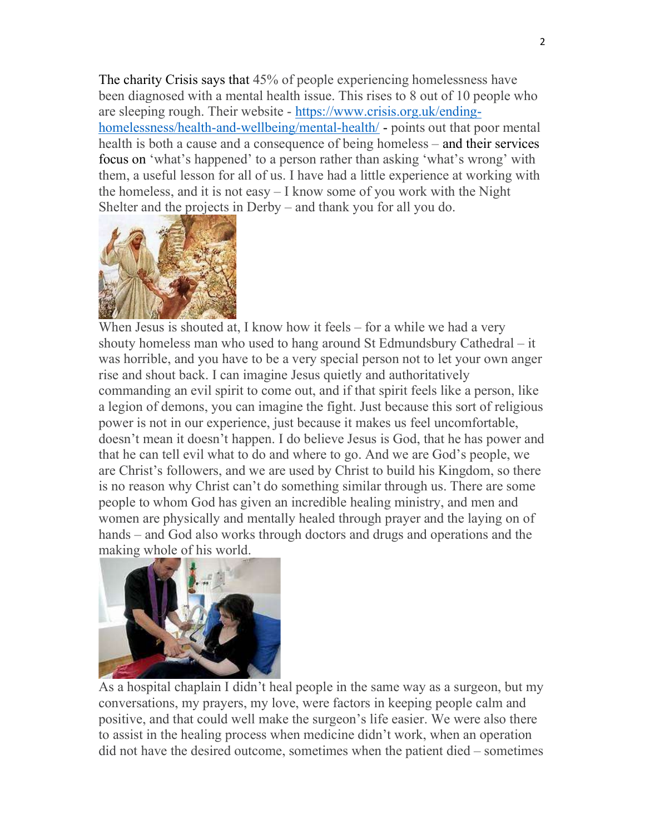The charity Crisis says that 45% of people experiencing homelessness have been diagnosed with a mental health issue. This rises to 8 out of 10 people who are sleeping rough. Their website - https://www.crisis.org.uk/endinghomelessness/health-and-wellbeing/mental-health/ - points out that poor mental health is both a cause and a consequence of being homeless – and their services focus on 'what's happened' to a person rather than asking 'what's wrong' with them, a useful lesson for all of us. I have had a little experience at working with the homeless, and it is not easy – I know some of you work with the Night Shelter and the projects in Derby – and thank you for all you do.



When Jesus is shouted at, I know how it feels – for a while we had a very shouty homeless man who used to hang around St Edmundsbury Cathedral – it was horrible, and you have to be a very special person not to let your own anger rise and shout back. I can imagine Jesus quietly and authoritatively commanding an evil spirit to come out, and if that spirit feels like a person, like a legion of demons, you can imagine the fight. Just because this sort of religious power is not in our experience, just because it makes us feel uncomfortable, doesn't mean it doesn't happen. I do believe Jesus is God, that he has power and that he can tell evil what to do and where to go. And we are God's people, we are Christ's followers, and we are used by Christ to build his Kingdom, so there is no reason why Christ can't do something similar through us. There are some people to whom God has given an incredible healing ministry, and men and women are physically and mentally healed through prayer and the laying on of hands – and God also works through doctors and drugs and operations and the making whole of his world.



As a hospital chaplain I didn't heal people in the same way as a surgeon, but my conversations, my prayers, my love, were factors in keeping people calm and positive, and that could well make the surgeon's life easier. We were also there to assist in the healing process when medicine didn't work, when an operation did not have the desired outcome, sometimes when the patient died – sometimes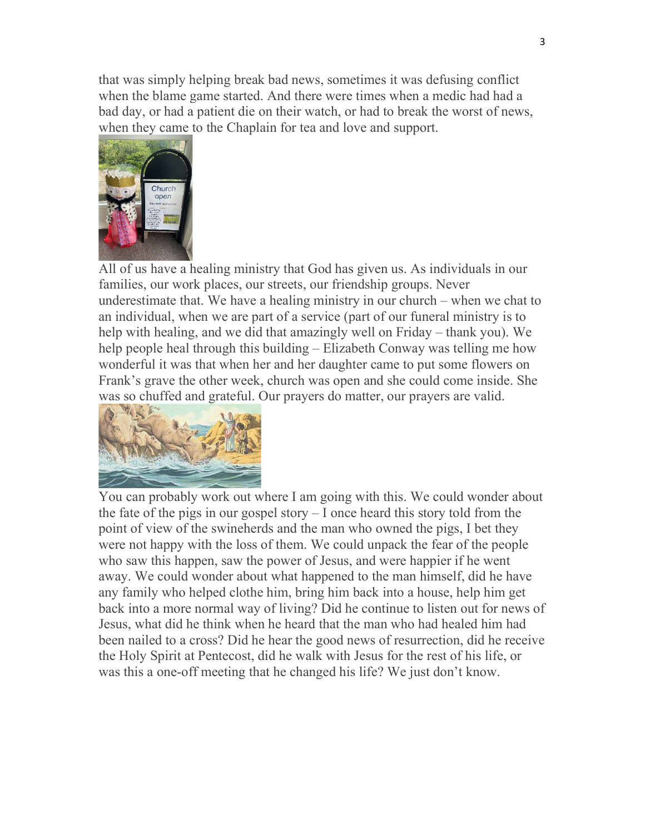that was simply helping break bad news, sometimes it was defusing conflict when the blame game started. And there were times when a medic had had a bad day, or had a patient die on their watch, or had to break the worst of news, when they came to the Chaplain for tea and love and support.



All of us have a healing ministry that God has given us. As individuals in our families, our work places, our streets, our friendship groups. Never underestimate that. We have a healing ministry in our church – when we chat to an individual, when we are part of a service (part of our funeral ministry is to help with healing, and we did that amazingly well on Friday – thank you). We help people heal through this building – Elizabeth Conway was telling me how wonderful it was that when her and her daughter came to put some flowers on Frank's grave the other week, church was open and she could come inside. She was so chuffed and grateful. Our prayers do matter, our prayers are valid.



You can probably work out where I am going with this. We could wonder about the fate of the pigs in our gospel story – I once heard this story told from the point of view of the swineherds and the man who owned the pigs, I bet they were not happy with the loss of them. We could unpack the fear of the people who saw this happen, saw the power of Jesus, and were happier if he went away. We could wonder about what happened to the man himself, did he have any family who helped clothe him, bring him back into a house, help him get back into a more normal way of living? Did he continue to listen out for news of Jesus, what did he think when he heard that the man who had healed him had been nailed to a cross? Did he hear the good news of resurrection, did he receive the Holy Spirit at Pentecost, did he walk with Jesus for the rest of his life, or was this a one-off meeting that he changed his life? We just don't know.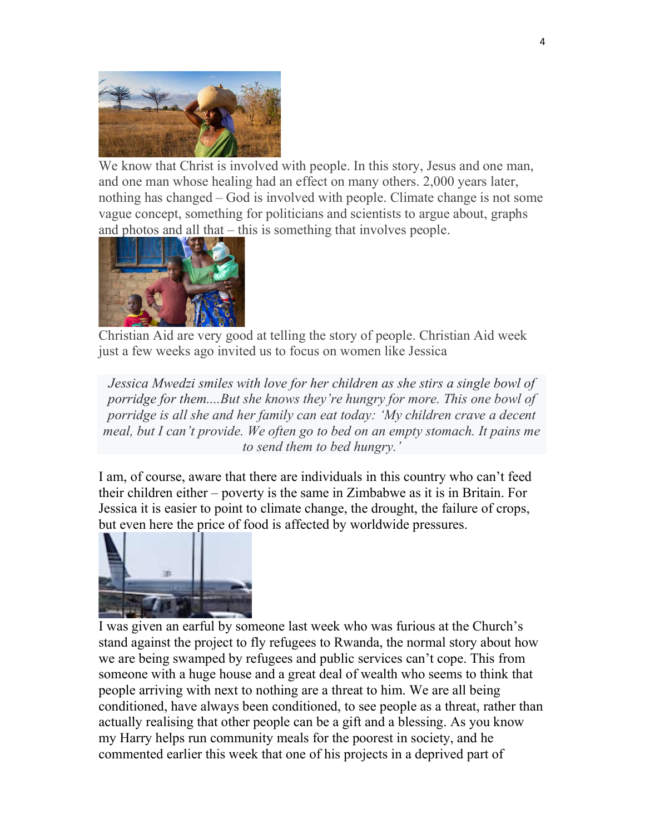

We know that Christ is involved with people. In this story, Jesus and one man, and one man whose healing had an effect on many others. 2,000 years later, nothing has changed – God is involved with people. Climate change is not some vague concept, something for politicians and scientists to argue about, graphs and photos and all that – this is something that involves people.



Christian Aid are very good at telling the story of people. Christian Aid week just a few weeks ago invited us to focus on women like Jessica

Jessica Mwedzi smiles with love for her children as she stirs a single bowl of porridge for them....But she knows they're hungry for more. This one bowl of porridge is all she and her family can eat today: 'My children crave a decent meal, but I can't provide. We often go to bed on an empty stomach. It pains me to send them to bed hungry.'

I am, of course, aware that there are individuals in this country who can't feed their children either – poverty is the same in Zimbabwe as it is in Britain. For Jessica it is easier to point to climate change, the drought, the failure of crops, but even here the price of food is affected by worldwide pressures.



I was given an earful by someone last week who was furious at the Church's stand against the project to fly refugees to Rwanda, the normal story about how we are being swamped by refugees and public services can't cope. This from someone with a huge house and a great deal of wealth who seems to think that people arriving with next to nothing are a threat to him. We are all being conditioned, have always been conditioned, to see people as a threat, rather than actually realising that other people can be a gift and a blessing. As you know my Harry helps run community meals for the poorest in society, and he commented earlier this week that one of his projects in a deprived part of